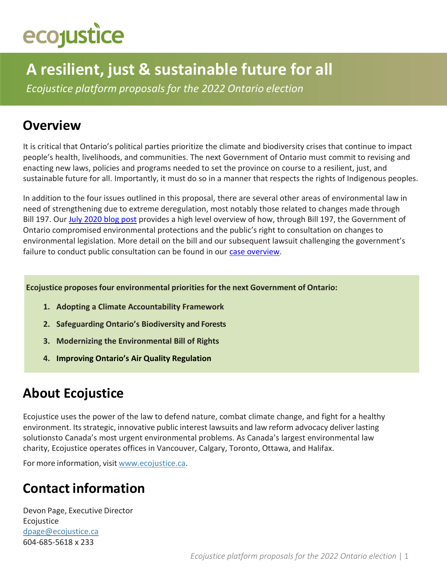# ecojustice

# **A resilient, just & sustainable future for all**

*Ecojustice platform proposals for the 2022 Ontario election*

## **Overview**

It is critical that Ontario's political parties prioritize the climate and biodiversity crises that continue to impact people's health, livelihoods, and communities. The next Government of Ontario must commit to revising and enacting new laws, policies and programs needed to set the province on course to a resilient, just, and sustainable future for all. Importantly, it must do so in a manner that respects the rights of Indigenous peoples.

In addition to the four issues outlined in this proposal, there are several other areas of environmental law in need of strengthening due to extreme deregulation, most notably those related to changes made through Bill 197. Our [July 2020 blog post](https://ecojustice.ca/ontario-proposes-sweeping-changes-to-environmental-assessment/) provides a high level overview of how, through Bill 197, the Government of Ontario compromised environmental protections and the public's right to consultation on changes to environmental legislation. More detail on the bill and our subsequent lawsuit challenging the government's failure to conduct public consultation can be found in our [case overview.](https://ecojustice.ca/case/challenging-the-ford-governments-failure-to-consult-on-bill-197/)

**Ecojustice proposesfour environmental priorities for the next Government of Ontario:**

- **1. Adopting a Climate Accountability Framework**
- **2. Safeguarding Ontario's Biodiversity and Forests**
- **3. Modernizing the Environmental Bill of Rights**
- **4. Improving Ontario's Air Quality Regulation**

# **About Ecojustice**

Ecojustice uses the power of the law to defend nature, combat climate change, and fight for a healthy environment. Itsstrategic, innovative public interest lawsuits and law reform advocacy deliver lasting solutionsto Canada's most urgent environmental problems. As Canada's largest environmental law charity, Ecojustice operates offices in Vancouver, Calgary, Toronto, Ottawa, and Halifax.

For more information, visit [www.ecojustice.ca.](http://www.ecojustice.ca/)

## **Contact information**

Devon Page, Executive Director Ecojustice [dpage@ecojustice.ca](mailto:dpage@ecojustice.ca) 604-685-5618 x 233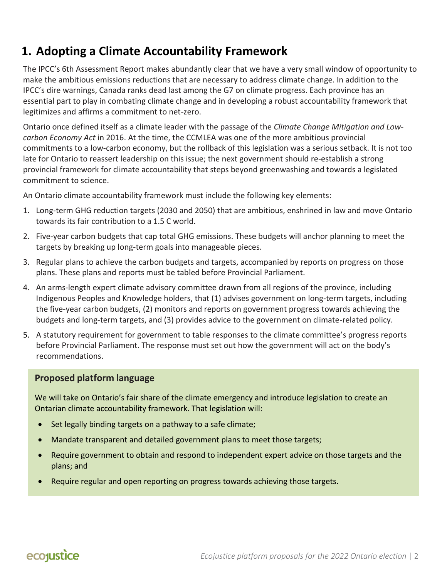## **1. Adopting a Climate Accountability Framework**

The IPCC's 6th Assessment Report makes abundantly clear that we have a very small window of opportunity to make the ambitious emissions reductions that are necessary to address climate change. In addition to the IPCC's dire warnings, Canada ranks dead last among the G7 on climate progress. Each province has an essential part to play in combating climate change and in developing a robust accountability framework that legitimizes and affirms a commitment to net-zero.

Ontario once defined itself as a climate leader with the passage of the *Climate Change Mitigation and Lowcarbon Economy Act* in 2016. At the time, the CCMLEA was one of the more ambitious provincial commitments to a low-carbon economy, but the rollback of this legislation was a serious setback. It is not too late for Ontario to reassert leadership on this issue; the next government should re-establish a strong provincial framework for climate accountability that steps beyond greenwashing and towards a legislated commitment to science.

An Ontario climate accountability framework must include the following key elements:

- 1. Long-term GHG reduction targets (2030 and 2050) that are ambitious, enshrined in law and move Ontario towards its fair contribution to a 1.5 C world.
- 2. Five-year carbon budgets that cap total GHG emissions. These budgets will anchor planning to meet the targets by breaking up long-term goals into manageable pieces.
- 3. Regular plans to achieve the carbon budgets and targets, accompanied by reports on progress on those plans. These plans and reports must be tabled before Provincial Parliament.
- 4. An arms-length expert climate advisory committee drawn from all regions of the province, including Indigenous Peoples and Knowledge holders, that (1) advises government on long-term targets, including the five-year carbon budgets, (2) monitors and reports on government progress towards achieving the budgets and long-term targets, and (3) provides advice to the government on climate-related policy.
- 5. A statutory requirement for government to table responses to the climate committee's progress reports before Provincial Parliament. The response must set out how the government will act on the body's recommendations.

#### **Proposed platform language**

We will take on Ontario's fair share of the climate emergency and introduce legislation to create an Ontarian climate accountability framework. That legislation will:

- Set legally binding targets on a pathway to a safe climate;
- Mandate transparent and detailed government plans to meet those targets;
- Require government to obtain and respond to independent expert advice on those targets and the plans; and
- Require regular and open reporting on progress towards achieving those targets.

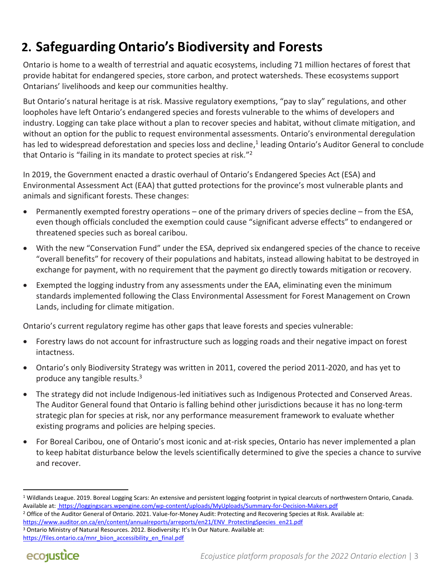## **2. Safeguarding Ontario's Biodiversity and Forests**

Ontario is home to a wealth of terrestrial and aquatic ecosystems, including 71 million hectares of forest that provide habitat for endangered species, store carbon, and protect watersheds. These ecosystems support Ontarians' livelihoods and keep our communities healthy.

But Ontario's natural heritage is at risk. Massive regulatory exemptions, "pay to slay" regulations, and other loopholes have left Ontario's endangered species and forests vulnerable to the whims of developers and industry. Logging can take place without a plan to recover species and habitat, without climate mitigation, and without an option for the public to request environmental assessments. Ontario's environmental deregulation has led to widespread deforestation and species loss and decline,<sup>1</sup> leading Ontario's Auditor General to conclude that Ontario is "[failing in its mandate to protect species at risk.](https://www.auditor.on.ca/en/content/annualreports/arreports/en21/ENV_ProtectingSpecies_en21.pdf)"<sup>2</sup>

In 2019, the Government enacted a drastic overhaul of Ontario's Endangered Species Act (ESA) and Environmental Assessment Act (EAA) that gutted protections for the province's most vulnerable plants and animals and significant forests. These changes:

- Permanently exempted forestry operations one of the primary drivers of species decline from the ESA, even though officials concluded the exemption could cause "significant adverse effects" to endangered or threatened species such as boreal caribou.
- With the new "Conservation Fund" under the ESA, deprived six endangered species of the chance to receive "overall benefits" for recovery of their populations and habitats, instead allowing habitat to be destroyed in exchange for payment, with no requirement that the payment go directly towards mitigation or recovery.
- [Exempted](https://www.blogto.com/city/2020/07/doug-ford-broken-law-bill-197/) the logging industry from any assessments under the EAA, eliminating even the minimum standards implemented following the Class Environmental Assessment for Forest Management on Crown Lands, including for climate mitigation.

Ontario's current regulatory regime has other gaps that leave forests and species vulnerable:

- Forestry laws do not account for infrastructure such as logging roads and their negative impact on forest intactness.
- Ontario's only Biodiversity Strategy was written in 2011, covered the period 2011-2020, and has yet to produce any tangible results.<sup>3</sup>
- The strategy did not include Indigenous-led initiatives such as Indigenous Protected and Conserved Areas. The Auditor General found that Ontario is falling behind other jurisdictions because it has no long-term strategic plan for species at risk, nor any performance measurement framework to evaluate whether existing programs and policies are helping species.
- For Boreal Caribou, one of Ontario's most iconic and at-risk species, Ontario has never implemented a plan to keep habitat disturbance below the levels scientifically determined to give the species a chance to survive and recover.

 $\overline{\phantom{a}}$ 

<sup>1</sup> Wildlands League. 2019. Boreal Logging Scars: An extensive and persistent logging footprint in typical clearcuts of northwestern Ontario, Canada. Available at:<https://loggingscars.wpengine.com/wp-content/uploads/MyUploads/Summary-for-Decision-Makers.pdf>

<sup>&</sup>lt;sup>2</sup> Office of the Auditor General of Ontario. 2021. Value-for-Money Audit: Protecting and Recovering Species at Risk. Available at: [https://www.auditor.on.ca/en/content/annualreports/arreports/en21/ENV\\_ProtectingSpecies\\_en21.pdf](https://www.auditor.on.ca/en/content/annualreports/arreports/en21/ENV_ProtectingSpecies_en21.pdf) <sup>3</sup> Ontario Ministry of Natural Resources. 2012. Biodiversity: It's In Our Nature. Available at: [https://files.ontario.ca/mnr\\_biion\\_accessibility\\_en\\_final.pdf](https://files.ontario.ca/mnr_biion_accessibility_en_final.pdf)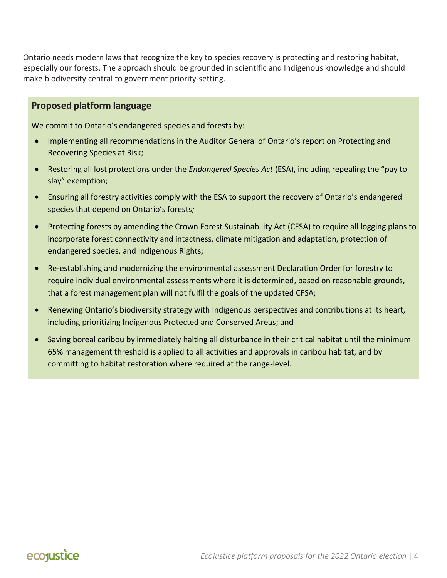Ontario needs modern laws that recognize the key to species recovery is protecting and restoring habitat, especially our forests. The approach should be grounded in scientific and Indigenous knowledge and should make biodiversity central to government priority-setting.

#### **Proposed platform language**

We commit to Ontario's endangered species and forests by:

- Implementing all recommendations in the Auditor General of Ontario's report on Protecting and Recovering Species at Risk;
- Restoring all lost protections under the *Endangered Species Act* (ESA), including repealing the "pay to slay" exemption;
- Ensuring all forestry activities comply with the ESA to support the recovery of Ontario's endangered species that depend on Ontario's forests*;*
- Protecting forests by amending the Crown Forest Sustainability Act (CFSA) to require all logging plans to incorporate forest connectivity and intactness, climate mitigation and adaptation, protection of endangered species, and Indigenous Rights;
- Re-establishing and modernizing the environmental assessment Declaration Order for forestry to require individual environmental assessments where it is determined, based on reasonable grounds, that a forest management plan will not fulfil the goals of the updated CFSA;
- Renewing Ontario's biodiversity strategy with Indigenous perspectives and contributions at its heart, including prioritizing Indigenous Protected and Conserved Areas; and
- Saving boreal caribou by immediately halting all disturbance in their critical habitat until the minimum 65% management threshold is applied to all activities and approvals in caribou habitat, and by committing to habitat restoration where required at the range-level.

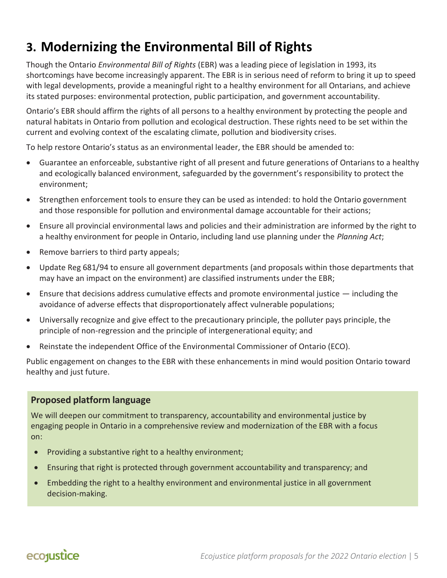# **3. Modernizing the Environmental Bill of Rights**

Though the Ontario *Environmental Bill of Rights* (EBR) was a leading piece of legislation in 1993, its shortcomings have become increasingly apparent. The EBR is in serious need of reform to bring it up to speed with legal developments, provide a meaningful right to a healthy environment for all Ontarians, and achieve its stated purposes: environmental protection, public participation, and government accountability.

Ontario's EBR should affirm the rights of all persons to a healthy environment by protecting the people and natural habitats in Ontario from pollution and ecological destruction. These rights need to be set within the current and evolving context of the escalating climate, pollution and biodiversity crises.

To help restore Ontario's status as an environmental leader, the EBR should be amended to:

- Guarantee an enforceable, substantive right of all present and future generations of Ontarians to a healthy and ecologically balanced environment, safeguarded by the government's responsibility to protect the environment;
- Strengthen enforcement tools to ensure they can be used as intended: to hold the Ontario government and those responsible for pollution and environmental damage accountable for their actions;
- Ensure all provincial environmental laws and policies and their administration are informed by the right to a healthy environment for people in Ontario, including land use planning under the *Planning Act*;
- Remove barriers to third party appeals;
- Update Reg 681/94 to ensure all government departments (and proposals within those departments that may have an impact on the environment) are classified instruments under the EBR;
- **Ensure that decisions address cumulative effects and promote environmental justice**  $-$  **including the** avoidance of adverse effects that disproportionately affect vulnerable populations;
- Universally recognize and give effect to the precautionary principle, the polluter pays principle, the principle of non-regression and the principle of intergenerational equity; and
- Reinstate the independent Office of the Environmental Commissioner of Ontario (ECO).

Public engagement on changes to the EBR with these enhancements in mind would position Ontario toward healthy and just future.

#### **Proposed platform language**

We will deepen our commitment to transparency, accountability and environmental justice by engaging people in Ontario in a comprehensive review and modernization of the EBR with a focus on:

- Providing a substantive right to a healthy environment;
- Ensuring that right is protected through government accountability and transparency; and
- Embedding the right to a healthy environment and environmental justice in all government decision-making.

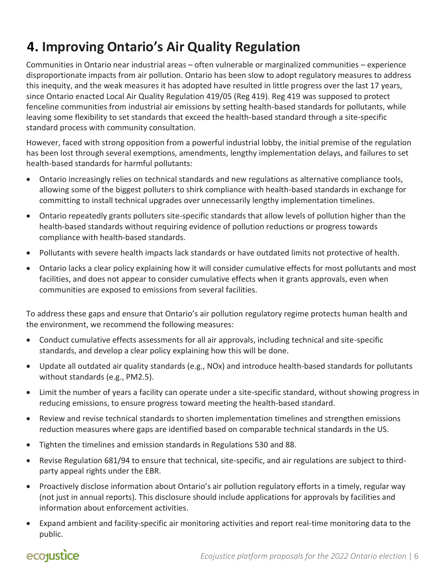# **4. Improving Ontario's Air Quality Regulation**

Communities in Ontario near industrial areas – often vulnerable or marginalized communities – experience disproportionate impacts from air pollution. Ontario has been slow to adopt regulatory measures to address this inequity, and the weak measures it has adopted have resulted in little progress over the last 17 years, since Ontario enacted Local Air Quality Regulation 419/05 (Reg 419). Reg 419 was supposed to protect fenceline communities from industrial air emissions by setting health-based standards for pollutants, while leaving some flexibility to set standards that exceed the health-based standard through a site-specific standard process with community consultation.

However, faced with strong opposition from a powerful industrial lobby, the initial premise of the regulation has been lost through several exemptions, amendments, lengthy implementation delays, and failures to set health-based standards for harmful pollutants:

- Ontario increasingly relies on technical standards and new regulations as alternative compliance tools, allowing some of the biggest polluters to shirk compliance with health-based standards in exchange for committing to install technical upgrades over unnecessarily lengthy implementation timelines.
- Ontario repeatedly grants polluters site-specific standards that allow levels of pollution higher than the health-based standards without requiring evidence of pollution reductions or progress towards compliance with health-based standards.
- Pollutants with severe health impacts lack standards or have outdated limits not protective of health.
- Ontario lacks a clear policy explaining how it will consider cumulative effects for most pollutants and most facilities, and does not appear to consider cumulative effects when it grants approvals, even when communities are exposed to emissions from several facilities.

To address these gaps and ensure that Ontario's air pollution regulatory regime protects human health and the environment, we recommend the following measures:

- Conduct cumulative effects assessments for all air approvals, including technical and site-specific standards, and develop a clear policy explaining how this will be done.
- Update all outdated air quality standards (e.g., NOx) and introduce health-based standards for pollutants without standards (e.g., PM2.5).
- Limit the number of years a facility can operate under a site-specific standard, without showing progress in reducing emissions, to ensure progress toward meeting the health-based standard.
- Review and revise technical standards to shorten implementation timelines and strengthen emissions reduction measures where gaps are identified based on comparable technical standards in the US.
- Tighten the timelines and emission standards in Regulations 530 and 88.
- Revise Regulation 681/94 to ensure that technical, site-specific, and air regulations are subject to thirdparty appeal rights under the EBR.
- Proactively disclose information about Ontario's air pollution regulatory efforts in a timely, regular way (not just in annual reports). This disclosure should include applications for approvals by facilities and information about enforcement activities.
- Expand ambient and facility-specific air monitoring activities and report real-time monitoring data to the public.

### ecolustice